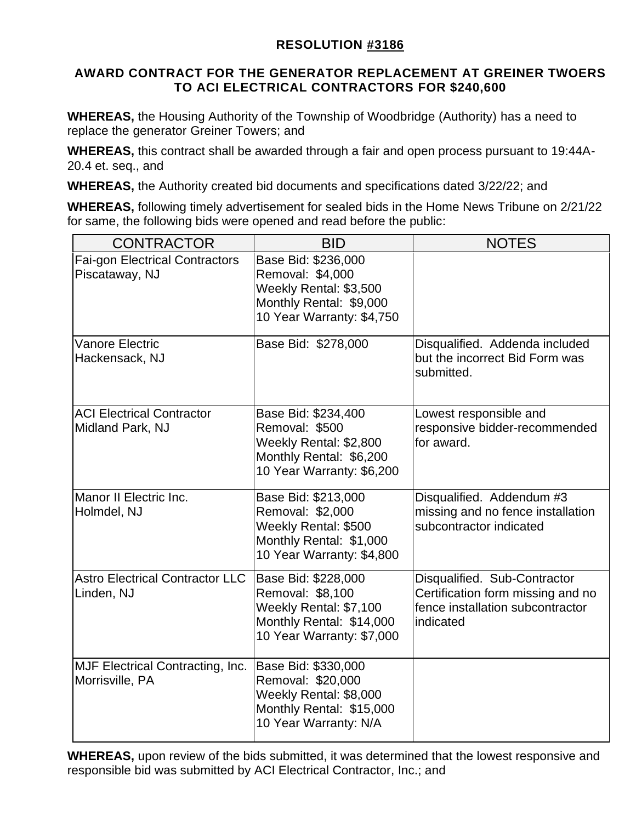## **RESOLUTION #3186**

## **AWARD CONTRACT FOR THE GENERATOR REPLACEMENT AT GREINER TWOERS TO ACI ELECTRICAL CONTRACTORS FOR \$240,600**

**WHEREAS,** the Housing Authority of the Township of Woodbridge (Authority) has a need to replace the generator Greiner Towers; and

**WHEREAS,** this contract shall be awarded through a fair and open process pursuant to 19:44A-20.4 et. seq., and

**WHEREAS,** the Authority created bid documents and specifications dated 3/22/22; and

**WHEREAS,** following timely advertisement for sealed bids in the Home News Tribune on 2/21/22 for same, the following bids were opened and read before the public:

| <b>CONTRACTOR</b>                                          | <b>BID</b>                                                                                                                 | <b>NOTES</b>                                                                                                       |  |  |
|------------------------------------------------------------|----------------------------------------------------------------------------------------------------------------------------|--------------------------------------------------------------------------------------------------------------------|--|--|
| <b>Fai-gon Electrical Contractors</b><br>Piscataway, NJ    | Base Bid: \$236,000<br>Removal: \$4,000<br>Weekly Rental: \$3,500<br>Monthly Rental: \$9,000<br>10 Year Warranty: \$4,750  |                                                                                                                    |  |  |
| <b>Vanore Electric</b><br>Hackensack, NJ                   | Base Bid: \$278,000                                                                                                        | Disqualified. Addenda included<br>but the incorrect Bid Form was<br>submitted.                                     |  |  |
| <b>ACI Electrical Contractor</b><br>Midland Park, NJ       | Base Bid: \$234,400<br>Removal: \$500<br>Weekly Rental: \$2,800<br>Monthly Rental: \$6,200<br>10 Year Warranty: \$6,200    | Lowest responsible and<br>responsive bidder-recommended<br>for award.                                              |  |  |
| Manor II Electric Inc.<br>Holmdel, NJ                      | Base Bid: \$213,000<br>Removal: \$2,000<br>Weekly Rental: \$500<br>Monthly Rental: \$1,000<br>10 Year Warranty: \$4,800    | Disqualified. Addendum #3<br>missing and no fence installation<br>subcontractor indicated                          |  |  |
| <b>Astro Electrical Contractor LLC</b><br>Linden, NJ       | Base Bid: \$228,000<br>Removal: \$8,100<br>Weekly Rental: \$7,100<br>Monthly Rental: \$14,000<br>10 Year Warranty: \$7,000 | Disqualified. Sub-Contractor<br>Certification form missing and no<br>fence installation subcontractor<br>indicated |  |  |
| <b>MJF Electrical Contracting, Inc.</b><br>Morrisville, PA | Base Bid: \$330,000<br>Removal: \$20,000<br>Weekly Rental: \$8,000<br>Monthly Rental: \$15,000<br>10 Year Warranty: N/A    |                                                                                                                    |  |  |

**WHEREAS,** upon review of the bids submitted, it was determined that the lowest responsive and responsible bid was submitted by ACI Electrical Contractor, Inc.; and